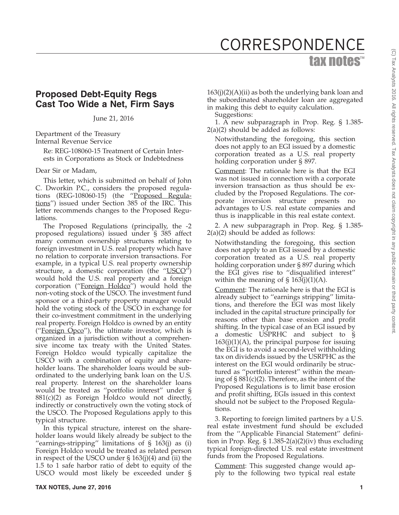## tax notes™ CORRESPONDENCE

## **Proposed Debt-Equity Regs Cast Too Wide a Net, Firm Says**

June 21, 2016

Department of the Treasury Internal Revenue Service

Re: REG-108060-15 Treatment of Certain Interests in Corporations as Stock or Indebtedness

## Dear Sir or Madam,

This letter, which is submitted on behalf of John C. Dworkin P.C., considers the proposed regulations (REG-108060-15) (the "Proposed Regulations'') issued under Section 385 of the IRC. This letter recommends changes to the Proposed Regulations.

The Proposed Regulations (principally, the -2 proposed regulations) issued under § 385 affect many common ownership structures relating to foreign investment in U.S. real property which have no relation to corporate inversion transactions. For example, in a typical U.S. real property ownership structure, a domestic corporation (the "USCO") would hold the U.S. real property and a foreign corporation ("Foreign Holdco") would hold the non-voting stock of the USCO. The investment fund sponsor or a third-party property manager would hold the voting stock of the USCO in exchange for their co-investment commitment in the underlying real property. Foreign Holdco is owned by an entity (''Foreign Opco''), the ultimate investor, which is organized in a jurisdiction without a comprehensive income tax treaty with the United States. Foreign Holdco would typically capitalize the USCO with a combination of equity and shareholder loans. The shareholder loans would be subordinated to the underlying bank loan on the U.S. real property. Interest on the shareholder loans would be treated as ''portfolio interest'' under § 881(c)(2) as Foreign Holdco would not directly, indirectly or constructively own the voting stock of the USCO. The Proposed Regulations apply to this typical structure.

In this typical structure, interest on the shareholder loans would likely already be subject to the "earnings-stripping" limitations of  $\S$  163(j) as (i) Foreign Holdco would be treated as related person in respect of the USCO under § 163(j)(4) and (ii) the 1.5 to 1 safe harbor ratio of debt to equity of the USCO would most likely be exceeded under §

 $163(j)(2)(A)(ii)$  as both the underlying bank loan and the subordinated shareholder loan are aggregated in making this debt to equity calculation.

Suggestions:

1. A new subparagraph in Prop. Reg. § 1.385- 2(a)(2) should be added as follows:

Notwithstanding the foregoing, this section does not apply to an EGI issued by a domestic corporation treated as a U.S. real property holding corporation under § 897.

Comment: The rationale here is that the EGI was not issued in connection with a corporate inversion transaction as thus should be excluded by the Proposed Regulations. The corporate inversion structure presents no advantages to U.S. real estate companies and thus is inapplicable in this real estate context.

2. A new subparagraph in Prop. Reg. § 1.385- 2(a)(2) should be added as follows:

Notwithstanding the foregoing, this section does not apply to an EGI issued by a domestic corporation treated as a U.S. real property holding corporation under § 897 during which the EGI gives rise to ''disqualified interest'' within the meaning of  $\S$  163(j)(1)(A).

Comment: The rationale here is that the EGI is already subject to ''earnings stripping'' limitations, and therefore the EGI was most likely included in the capital structure principally for reasons other than base erosion and profit shifting. In the typical case of an EGI issued by a domestic USPRHC and subject to §  $163(j)(1)(A)$ , the principal purpose for issuing the EGI is to avoid a second-level withholding tax on dividends issued by the USRPHC as the interest on the EGI would ordinarily be structured as ''portfolio interest'' within the meaning of  $\S 881(c)(2)$ . Therefore, as the intent of the Proposed Regulations is to limit base erosion and profit shifting, EGIs issued in this context should not be subject to the Proposed Regulations.

3. Reporting to foreign limited partners by a U.S. real estate investment fund should be excluded from the ''Applicable Financial Statement'' definition in Prop. Reg.  $\S 1.385-2(a)(2)(iv)$  thus excluding typical foreign-directed U.S. real estate investment funds from the Proposed Regulations.

Comment: This suggested change would apply to the following two typical real estate